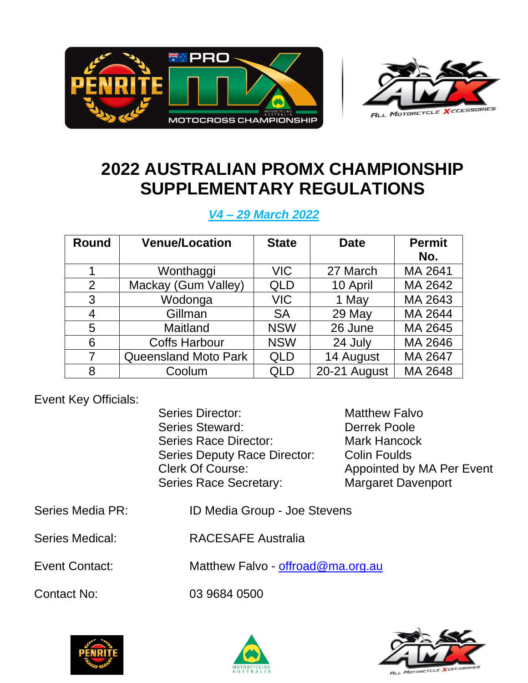



# **2022 AUSTRALIAN PROMX CHAMPIONSHIP SUPPLEMENTARY REGULATIONS**

*V4 – 29 March 2022*

| <b>Round</b>   | <b>Venue/Location</b>       | <b>State</b> | <b>Date</b>  | <b>Permit</b> |
|----------------|-----------------------------|--------------|--------------|---------------|
|                |                             |              |              | No.           |
|                | Wonthaggi                   | <b>VIC</b>   | 27 March     | MA 2641       |
| $\overline{2}$ | Mackay (Gum Valley)         | <b>QLD</b>   | 10 April     | MA 2642       |
| 3              | Wodonga                     | <b>VIC</b>   | 1 May        | MA 2643       |
| 4              | Gillman                     | <b>SA</b>    | 29 May       | MA 2644       |
| 5              | Maitland                    | <b>NSW</b>   | 26 June      | MA 2645       |
| 6              | <b>Coffs Harbour</b>        | <b>NSW</b>   | 24 July      | MA 2646       |
| 7              | <b>Queensland Moto Park</b> | <b>QLD</b>   | 14 August    | MA 2647       |
| 8              | Coolum                      | QLD          | 20-21 August | MA 2648       |

Event Key Officials:

Series Director: Matthew Falvo Series Steward: Derrek Poole Series Race Director: Mark Hancock Series Deputy Race Director: Colin Foulds Clerk Of Course: Appointed by MA Per Event Series Race Secretary: Margaret Davenport

- Series Media PR: ID Media Group Joe Stevens
- Series Medical: RACESAFE Australia

Event Contact: Matthew Falvo - [offroad@ma.org.au](mailto:offroad@ma.org.au)

Contact No: 03 9684 0500



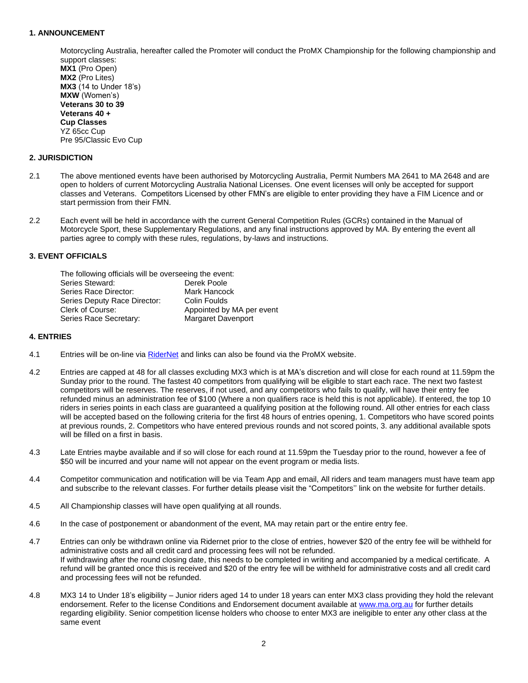# **1. ANNOUNCEMENT**

Motorcycling Australia, hereafter called the Promoter will conduct the ProMX Championship for the following championship and support classes: **MX1** (Pro Open) **MX2** (Pro Lites) **MX3** (14 to Under 18's) **MXW** (Women's) **Veterans 30 to 39 Veterans 40 + Cup Classes**

## **2. JURISDICTION**

YZ 65cc Cup

Pre 95/Classic Evo Cup

- 2.1 The above mentioned events have been authorised by Motorcycling Australia, Permit Numbers MA 2641 to MA 2648 and are open to holders of current Motorcycling Australia National Licenses. One event licenses will only be accepted for support classes and Veterans. Competitors Licensed by other FMN's are eligible to enter providing they have a FIM Licence and or start permission from their FMN.
- 2.2 Each event will be held in accordance with the current General Competition Rules (GCRs) contained in the Manual of Motorcycle Sport, these Supplementary Regulations, and any final instructions approved by MA. By entering the event all parties agree to comply with these rules, regulations, by-laws and instructions.

## **3. EVENT OFFICIALS**

| The following officials will be overseeing the event: |
|-------------------------------------------------------|
| Derek Poole                                           |
| Mark Hancock                                          |
| Colin Foulds                                          |
| Appointed by MA per event                             |
| <b>Margaret Davenport</b>                             |
|                                                       |

#### **4. ENTRIES**

- 4.1 Entries will be on-line via [RiderNet](https://osm-ma.omnisportsmanagement.com/Memberships/(S(zcu22fq4n4e43j5rqzk0fspo))/OSMMbr_LoginMA.aspx) and links can also be found via the ProMX website.
- 4.2 Entries are capped at 48 for all classes excluding MX3 which is at MA's discretion and will close for each round at 11.59pm the Sunday prior to the round. The fastest 40 competitors from qualifying will be eligible to start each race. The next two fastest competitors will be reserves. The reserves, if not used, and any competitors who fails to qualify, will have their entry fee refunded minus an administration fee of \$100 (Where a non qualifiers race is held this is not applicable). If entered, the top 10 riders in series points in each class are guaranteed a qualifying position at the following round. All other entries for each class will be accepted based on the following criteria for the first 48 hours of entries opening, 1. Competitors who have scored points at previous rounds, 2. Competitors who have entered previous rounds and not scored points, 3. any additional available spots will be filled on a first in basis.
- 4.3 Late Entries maybe available and if so will close for each round at 11.59pm the Tuesday prior to the round, however a fee of \$50 will be incurred and your name will not appear on the event program or media lists.
- 4.4 Competitor communication and notification will be via Team App and email, All riders and team managers must have team app and subscribe to the relevant classes. For further details please visit the "Competitors'' link on the website for further details.
- 4.5 All Championship classes will have open qualifying at all rounds.
- 4.6 In the case of postponement or abandonment of the event, MA may retain part or the entire entry fee.
- 4.7 Entries can only be withdrawn online via Ridernet prior to the close of entries, however \$20 of the entry fee will be withheld for administrative costs and all credit card and processing fees will not be refunded. If withdrawing after the round closing date, this needs to be completed in writing and accompanied by a medical certificate. A refund will be granted once this is received and \$20 of the entry fee will be withheld for administrative costs and all credit card and processing fees will not be refunded.
- 4.8 MX3 14 to Under 18's eligibility Junior riders aged 14 to under 18 years can enter MX3 class providing they hold the relevant endorsement. Refer to the license Conditions and Endorsement document available at [www.ma.org.au](http://www.ma.org.au/) for further details regarding eligibility. Senior competition license holders who choose to enter MX3 are ineligible to enter any other class at the same event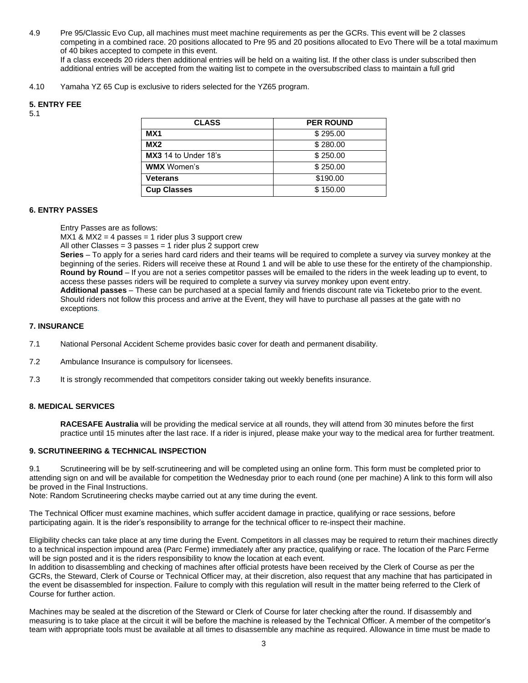4.9 Pre 95/Classic Evo Cup, all machines must meet machine requirements as per the GCRs. This event will be 2 classes competing in a combined race. 20 positions allocated to Pre 95 and 20 positions allocated to Evo There will be a total maximum of 40 bikes accepted to compete in this event.

If a class exceeds 20 riders then additional entries will be held on a waiting list. If the other class is under subscribed then additional entries will be accepted from the waiting list to compete in the oversubscribed class to maintain a full grid

4.10 Yamaha YZ 65 Cup is exclusive to riders selected for the YZ65 program.

# **5. ENTRY FEE**

5.1

| <b>CLASS</b>                | <b>PER ROUND</b> |  |
|-----------------------------|------------------|--|
| MX <sub>1</sub>             | \$295.00         |  |
| MX2                         | \$280.00         |  |
| <b>MX3</b> 14 to Under 18's | \$250.00         |  |
| <b>WMX</b> Women's          | \$250.00         |  |
| <b>Veterans</b>             | \$190.00         |  |
| <b>Cup Classes</b>          | \$150.00         |  |

## **6. ENTRY PASSES**

Entry Passes are as follows:

 $MX1$  &  $MX2 = 4$  passes = 1 rider plus 3 support crew

All other Classes = 3 passes = 1 rider plus 2 support crew

**Series** – To apply for a series hard card riders and their teams will be required to complete a survey via survey monkey at the beginning of the series. Riders will receive these at Round 1 and will be able to use these for the entirety of the championship. **Round by Round** – If you are not a series competitor passes will be emailed to the riders in the week leading up to event, to access these passes riders will be required to complete a survey via survey monkey upon event entry.

**Additional passes** – These can be purchased at a special family and friends discount rate via Ticketebo prior to the event. Should riders not follow this process and arrive at the Event, they will have to purchase all passes at the gate with no exceptions.

## **7. INSURANCE**

- 7.1 National Personal Accident Scheme provides basic cover for death and permanent disability.
- 7.2 Ambulance Insurance is compulsory for licensees.
- 7.3 It is strongly recommended that competitors consider taking out weekly benefits insurance.

# **8. MEDICAL SERVICES**

**RACESAFE Australia** will be providing the medical service at all rounds, they will attend from 30 minutes before the first practice until 15 minutes after the last race. If a rider is injured, please make your way to the medical area for further treatment.

# **9. SCRUTINEERING & TECHNICAL INSPECTION**

9.1 Scrutineering will be by self-scrutineering and will be completed using an online form. This form must be completed prior to attending sign on and will be available for competition the Wednesday prior to each round (one per machine) A link to this form will also be proved in the Final Instructions.

Note: Random Scrutineering checks maybe carried out at any time during the event.

The Technical Officer must examine machines, which suffer accident damage in practice, qualifying or race sessions, before participating again. It is the rider's responsibility to arrange for the technical officer to re-inspect their machine.

Eligibility checks can take place at any time during the Event. Competitors in all classes may be required to return their machines directly to a technical inspection impound area (Parc Ferme) immediately after any practice, qualifying or race. The location of the Parc Ferme will be sign posted and it is the riders responsibility to know the location at each event.

In addition to disassembling and checking of machines after official protests have been received by the Clerk of Course as per the GCRs, the Steward, Clerk of Course or Technical Officer may, at their discretion, also request that any machine that has participated in the event be disassembled for inspection. Failure to comply with this regulation will result in the matter being referred to the Clerk of Course for further action.

Machines may be sealed at the discretion of the Steward or Clerk of Course for later checking after the round. If disassembly and measuring is to take place at the circuit it will be before the machine is released by the Technical Officer. A member of the competitor's team with appropriate tools must be available at all times to disassemble any machine as required. Allowance in time must be made to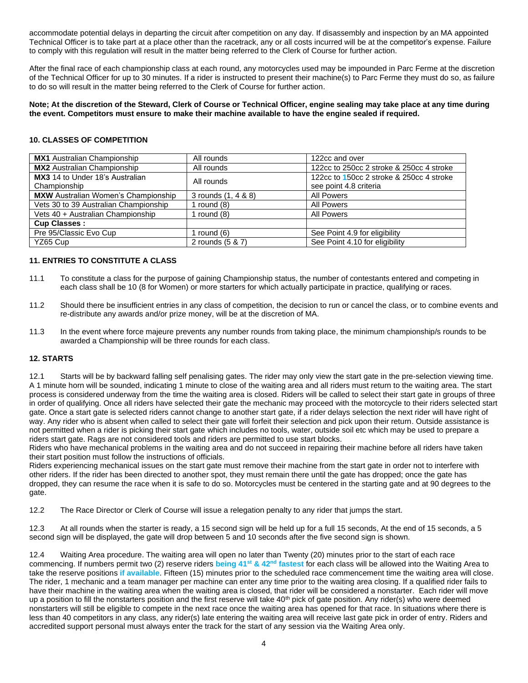accommodate potential delays in departing the circuit after competition on any day. If disassembly and inspection by an MA appointed Technical Officer is to take part at a place other than the racetrack, any or all costs incurred will be at the competitor's expense. Failure to comply with this regulation will result in the matter being referred to the Clerk of Course for further action.

After the final race of each championship class at each round, any motorcycles used may be impounded in Parc Ferme at the discretion of the Technical Officer for up to 30 minutes. If a rider is instructed to present their machine(s) to Parc Ferme they must do so, as failure to do so will result in the matter being referred to the Clerk of Course for further action.

**Note; At the discretion of the Steward, Clerk of Course or Technical Officer, engine sealing may take place at any time during the event. Competitors must ensure to make their machine available to have the engine sealed if required.**

# **10. CLASSES OF COMPETITION**

| <b>MX1</b> Australian Championship         | All rounds          | 122cc and over                           |  |
|--------------------------------------------|---------------------|------------------------------------------|--|
| <b>MX2</b> Australian Championship         | All rounds          | 122cc to 250cc 2 stroke & 250cc 4 stroke |  |
| <b>MX3</b> 14 to Under 18's Australian     | All rounds          | 122cc to 150cc 2 stroke & 250cc 4 stroke |  |
| Championship                               |                     | see point 4.8 criteria                   |  |
| <b>MXW</b> Australian Women's Championship | 3 rounds (1, 4 & 8) | <b>All Powers</b>                        |  |
| Vets 30 to 39 Australian Championship      | 1 round $(8)$       | All Powers                               |  |
| Vets 40 + Australian Championship          | 1 round $(8)$       | <b>All Powers</b>                        |  |
| <b>Cup Classes:</b>                        |                     |                                          |  |
| Pre 95/Classic Evo Cup                     | 1 round $(6)$       | See Point 4.9 for eligibility            |  |
| YZ65 Cup                                   | 2 rounds (5 & 7)    | See Point 4.10 for eligibility           |  |

# **11. ENTRIES TO CONSTITUTE A CLASS**

- 11.1 To constitute a class for the purpose of gaining Championship status, the number of contestants entered and competing in each class shall be 10 (8 for Women) or more starters for which actually participate in practice, qualifying or races.
- 11.2 Should there be insufficient entries in any class of competition, the decision to run or cancel the class, or to combine events and re-distribute any awards and/or prize money, will be at the discretion of MA.
- 11.3 In the event where force majeure prevents any number rounds from taking place, the minimum championship/s rounds to be awarded a Championship will be three rounds for each class.

## **12. STARTS**

12.1 Starts will be by backward falling self penalising gates. The rider may only view the start gate in the pre-selection viewing time. A 1 minute horn will be sounded, indicating 1 minute to close of the waiting area and all riders must return to the waiting area. The start process is considered underway from the time the waiting area is closed. Riders will be called to select their start gate in groups of three in order of qualifying. Once all riders have selected their gate the mechanic may proceed with the motorcycle to their riders selected start gate. Once a start gate is selected riders cannot change to another start gate, if a rider delays selection the next rider will have right of way. Any rider who is absent when called to select their gate will forfeit their selection and pick upon their return. Outside assistance is not permitted when a rider is picking their start gate which includes no tools, water, outside soil etc which may be used to prepare a riders start gate. Rags are not considered tools and riders are permitted to use start blocks.

Riders who have mechanical problems in the waiting area and do not succeed in repairing their machine before all riders have taken their start position must follow the instructions of officials.

Riders experiencing mechanical issues on the start gate must remove their machine from the start gate in order not to interfere with other riders. If the rider has been directed to another spot, they must remain there until the gate has dropped; once the gate has dropped, they can resume the race when it is safe to do so. Motorcycles must be centered in the starting gate and at 90 degrees to the gate.

12.2 The Race Director or Clerk of Course will issue a relegation penalty to any rider that jumps the start.

12.3 At all rounds when the starter is ready, a 15 second sign will be held up for a full 15 seconds, At the end of 15 seconds, a 5 second sign will be displayed, the gate will drop between 5 and 10 seconds after the five second sign is shown.

12.4 Waiting Area procedure. The waiting area will open no later than Twenty (20) minutes prior to the start of each race commencing. If numbers permit two (2) reserve riders **being 41st & 42nd fastest** for each class will be allowed into the Waiting Area to take the reserve positions **if available**. Fifteen (15) minutes prior to the scheduled race commencement time the waiting area will close. The rider, 1 mechanic and a team manager per machine can enter any time prior to the waiting area closing. If a qualified rider fails to have their machine in the waiting area when the waiting area is closed, that rider will be considered a nonstarter. Each rider will move up a position to fill the nonstarters position and the first reserve will take  $40<sup>th</sup>$  pick of gate position. Any rider(s) who were deemed nonstarters will still be eligible to compete in the next race once the waiting area has opened for that race. In situations where there is less than 40 competitors in any class, any rider(s) late entering the waiting area will receive last gate pick in order of entry. Riders and accredited support personal must always enter the track for the start of any session via the Waiting Area only.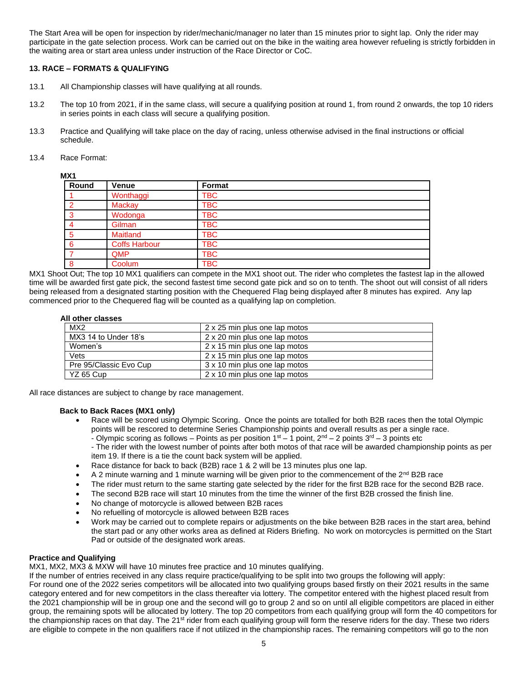The Start Area will be open for inspection by rider/mechanic/manager no later than 15 minutes prior to sight lap. Only the rider may participate in the gate selection process. Work can be carried out on the bike in the waiting area however refueling is strictly forbidden in the waiting area or start area unless under instruction of the Race Director or CoC.

# **13. RACE – FORMATS & QUALIFYING**

- 13.1 All Championship classes will have qualifying at all rounds.
- 13.2 The top 10 from 2021, if in the same class, will secure a qualifying position at round 1, from round 2 onwards, the top 10 riders in series points in each class will secure a qualifying position.
- 13.3 Practice and Qualifying will take place on the day of racing, unless otherwise advised in the final instructions or official schedule.
- 13.4 Race Format:

|--|

| Round | <b>Venue</b>         | Format     |  |
|-------|----------------------|------------|--|
|       | Wonthaggi            | <b>TBC</b> |  |
| റ     | <b>Mackay</b>        | <b>TBC</b> |  |
| 3     | Wodonga              | <b>TBC</b> |  |
|       | Gilman               | <b>TBC</b> |  |
| 5     | Maitland             | <b>TBC</b> |  |
| 6     | <b>Coffs Harbour</b> | <b>TBC</b> |  |
|       | QMP                  | <b>TBC</b> |  |
| 8     | Coolum               | <b>TBC</b> |  |

MX1 Shoot Out; The top 10 MX1 qualifiers can compete in the MX1 shoot out. The rider who completes the fastest lap in the allowed time will be awarded first gate pick, the second fastest time second gate pick and so on to tenth. The shoot out will consist of all riders being released from a designated starting position with the Chequered Flag being displayed after 8 minutes has expired. Any lap commenced prior to the Chequered flag will be counted as a qualifying lap on completion.

## **All other classes**

| MX <sub>2</sub>        | 2 x 25 min plus one lap motos |
|------------------------|-------------------------------|
| MX3 14 to Under 18's   | 2 x 20 min plus one lap motos |
| Women's                | 2 x 15 min plus one lap motos |
| Vets                   | 2 x 15 min plus one lap motos |
| Pre 95/Classic Evo Cup | 3 x 10 min plus one lap motos |
| YZ 65 Cup              | 2 x 10 min plus one lap motos |

All race distances are subject to change by race management.

## **Back to Back Races (MX1 only)**

- Race will be scored using Olympic Scoring. Once the points are totalled for both B2B races then the total Olympic points will be rescored to determine Series Championship points and overall results as per a single race.
	- Olympic scoring as follows Points as per position  $1<sup>st</sup> 1$  point,  $2<sup>nd</sup> 2$  points  $3<sup>rd</sup> 3$  points etc
	- The rider with the lowest number of points after both motos of that race will be awarded championship points as per item 19. If there is a tie the count back system will be applied.
- Race distance for back to back (B2B) race 1 & 2 will be 13 minutes plus one lap.
- A 2 minute warning and 1 minute warning will be given prior to the commencement of the 2<sup>nd</sup> B2B race
- The rider must return to the same starting gate selected by the rider for the first B2B race for the second B2B race.
- The second B2B race will start 10 minutes from the time the winner of the first B2B crossed the finish line.
- No change of motorcycle is allowed between B2B races
- No refuelling of motorcycle is allowed between B2B races
- Work may be carried out to complete repairs or adjustments on the bike between B2B races in the start area, behind the start pad or any other works area as defined at Riders Briefing. No work on motorcycles is permitted on the Start Pad or outside of the designated work areas.

## **Practice and Qualifying**

MX1, MX2, MX3 & MXW will have 10 minutes free practice and 10 minutes qualifying.

If the number of entries received in any class require practice/qualifying to be split into two groups the following will apply:

For round one of the 2022 series competitors will be allocated into two qualifying groups based firstly on their 2021 results in the same category entered and for new competitors in the class thereafter via lottery. The competitor entered with the highest placed result from the 2021 championship will be in group one and the second will go to group 2 and so on until all eligible competitors are placed in either group, the remaining spots will be allocated by lottery. The top 20 competitors from each qualifying group will form the 40 competitors for the championship races on that day. The 21<sup>st</sup> rider from each qualifying group will form the reserve riders for the day. These two riders are eligible to compete in the non qualifiers race if not utilized in the championship races. The remaining competitors will go to the non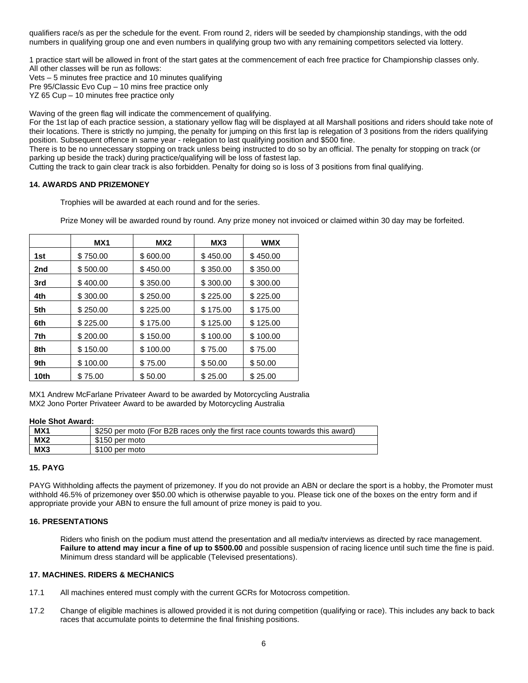qualifiers race/s as per the schedule for the event. From round 2, riders will be seeded by championship standings, with the odd numbers in qualifying group one and even numbers in qualifying group two with any remaining competitors selected via lottery.

1 practice start will be allowed in front of the start gates at the commencement of each free practice for Championship classes only. All other classes will be run as follows:

Vets – 5 minutes free practice and 10 minutes qualifying

Pre 95/Classic Evo Cup – 10 mins free practice only

YZ 65 Cup – 10 minutes free practice only

Waving of the green flag will indicate the commencement of qualifying.

For the 1st lap of each practice session, a stationary yellow flag will be displayed at all Marshall positions and riders should take note of their locations. There is strictly no jumping, the penalty for jumping on this first lap is relegation of 3 positions from the riders qualifying position. Subsequent offence in same year - relegation to last qualifying position and \$500 fine.

There is to be no unnecessary stopping on track unless being instructed to do so by an official. The penalty for stopping on track (or parking up beside the track) during practice/qualifying will be loss of fastest lap.

Cutting the track to gain clear track is also forbidden. Penalty for doing so is loss of 3 positions from final qualifying.

## **14. AWARDS AND PRIZEMONEY**

Trophies will be awarded at each round and for the series.

Prize Money will be awarded round by round. Any prize money not invoiced or claimed within 30 day may be forfeited.

|      | MX1      | MX <sub>2</sub> | MX3      | <b>WMX</b> |
|------|----------|-----------------|----------|------------|
| 1st  | \$750.00 | \$600.00        | \$450.00 | \$450.00   |
| 2nd  | \$500.00 | \$450.00        | \$350.00 | \$350.00   |
| 3rd  | \$400.00 | \$350.00        | \$300.00 | \$300.00   |
| 4th  | \$300.00 | \$250.00        | \$225.00 | \$225.00   |
| 5th  | \$250.00 | \$225.00        | \$175.00 | \$175.00   |
| 6th  | \$225.00 | \$175.00        | \$125.00 | \$125.00   |
| 7th  | \$200.00 | \$150.00        | \$100.00 | \$100.00   |
| 8th  | \$150.00 | \$100.00        | \$75.00  | \$75.00    |
| 9th  | \$100.00 | \$75.00         | \$50.00  | \$50.00    |
| 10th | \$75.00  | \$50.00         | \$25.00  | \$25.00    |

MX1 Andrew McFarlane Privateer Award to be awarded by Motorcycling Australia MX2 Jono Porter Privateer Award to be awarded by Motorcycling Australia

## **Hole Shot Award:**

| MX1 | \$250 per moto (For B2B races only the first race counts towards this award) |
|-----|------------------------------------------------------------------------------|
| MX2 | \$150 per moto                                                               |
| MX3 | \$100 per moto                                                               |

## **15. PAYG**

PAYG Withholding affects the payment of prizemoney. If you do not provide an ABN or declare the sport is a hobby, the Promoter must withhold 46.5% of prizemoney over \$50.00 which is otherwise payable to you. Please tick one of the boxes on the entry form and if appropriate provide your ABN to ensure the full amount of prize money is paid to you.

## **16. PRESENTATIONS**

Riders who finish on the podium must attend the presentation and all media/tv interviews as directed by race management. **Failure to attend may incur a fine of up to \$500.00** and possible suspension of racing licence until such time the fine is paid. Minimum dress standard will be applicable (Televised presentations).

## **17. MACHINES. RIDERS & MECHANICS**

- 17.1 All machines entered must comply with the current GCRs for Motocross competition.
- 17.2 Change of eligible machines is allowed provided it is not during competition (qualifying or race). This includes any back to back races that accumulate points to determine the final finishing positions.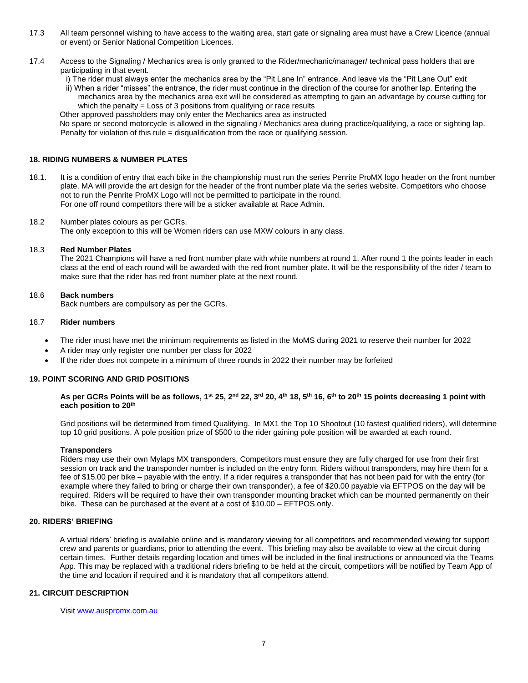- 17.3 All team personnel wishing to have access to the waiting area, start gate or signaling area must have a Crew Licence (annual or event) or Senior National Competition Licences.
- 17.4 Access to the Signaling / Mechanics area is only granted to the Rider/mechanic/manager/ technical pass holders that are participating in that event.
	- i) The rider must always enter the mechanics area by the "Pit Lane In" entrance. And leave via the "Pit Lane Out" exit

ii) When a rider "misses" the entrance, the rider must continue in the direction of the course for another lap. Entering the mechanics area by the mechanics area exit will be considered as attempting to gain an advantage by course cutting for which the penalty = Loss of 3 positions from qualifying or race results

Other approved passholders may only enter the Mechanics area as instructed

No spare or second motorcycle is allowed in the signaling / Mechanics area during practice/qualifying, a race or sighting lap. Penalty for violation of this rule = disqualification from the race or qualifying session.

# **18. RIDING NUMBERS & NUMBER PLATES**

- 18.1. It is a condition of entry that each bike in the championship must run the series Penrite ProMX logo header on the front number plate. MA will provide the art design for the header of the front number plate via the series website. Competitors who choose not to run the Penrite ProMX Logo will not be permitted to participate in the round. For one off round competitors there will be a sticker available at Race Admin.
- 18.2 Number plates colours as per GCRs. The only exception to this will be Women riders can use MXW colours in any class.

## 18.3 **Red Number Plates**

The 2021 Champions will have a red front number plate with white numbers at round 1. After round 1 the points leader in each class at the end of each round will be awarded with the red front number plate. It will be the responsibility of the rider / team to make sure that the rider has red front number plate at the next round.

18.6 **Back numbers** 

Back numbers are compulsory as per the GCRs.

## 18.7 **Rider numbers**

- The rider must have met the minimum requirements as listed in the MoMS during 2021 to reserve their number for 2022
- A rider may only register one number per class for 2022
- If the rider does not compete in a minimum of three rounds in 2022 their number may be forfeited

## **19. POINT SCORING AND GRID POSITIONS**

#### As per GCRs Points will be as follows, 1<sup>st</sup> 25, 2<sup>nd</sup> 22, 3<sup>rd</sup> 20, 4<sup>th</sup> 18, 5<sup>th</sup> 16, 6<sup>th</sup> to 20<sup>th</sup> 15 points decreasing 1 point with **each position to 20 th**

Grid positions will be determined from timed Qualifying. In MX1 the Top 10 Shootout (10 fastest qualified riders), will determine top 10 grid positions. A pole position prize of \$500 to the rider gaining pole position will be awarded at each round.

#### **Transponders**

Riders may use their own Mylaps MX transponders, Competitors must ensure they are fully charged for use from their first session on track and the transponder number is included on the entry form. Riders without transponders, may hire them for a fee of \$15.00 per bike – payable with the entry. If a rider requires a transponder that has not been paid for with the entry (for example where they failed to bring or charge their own transponder), a fee of \$20.00 payable via EFTPOS on the day will be required. Riders will be required to have their own transponder mounting bracket which can be mounted permanently on their bike. These can be purchased at the event at a cost of \$10.00 – EFTPOS only.

## **20. RIDERS' BRIEFING**

A virtual riders' briefing is available online and is mandatory viewing for all competitors and recommended viewing for support crew and parents or guardians, prior to attending the event. This briefing may also be available to view at the circuit during certain times. Further details regarding location and times will be included in the final instructions or announced via the Teams App. This may be replaced with a traditional riders briefing to be held at the circuit, competitors will be notified by Team App of the time and location if required and it is mandatory that all competitors attend.

# **21. CIRCUIT DESCRIPTION**

Visi[t www.auspromx.com.au](http://www.auspromx.com.au/)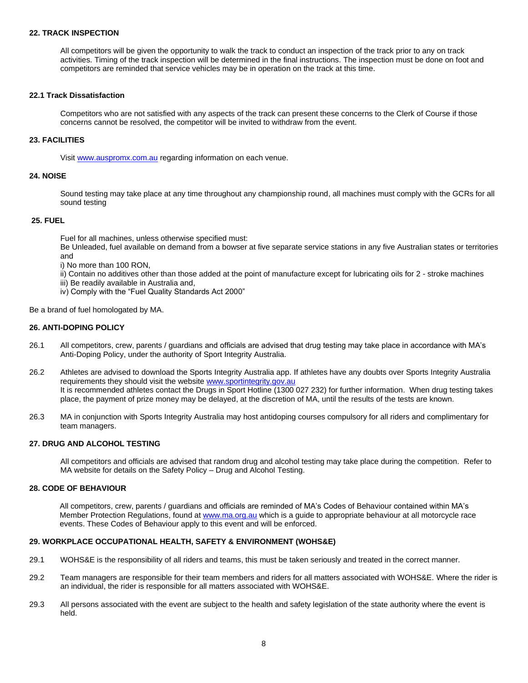#### **22. TRACK INSPECTION**

All competitors will be given the opportunity to walk the track to conduct an inspection of the track prior to any on track activities. Timing of the track inspection will be determined in the final instructions. The inspection must be done on foot and competitors are reminded that service vehicles may be in operation on the track at this time.

#### **22.1 Track Dissatisfaction**

Competitors who are not satisfied with any aspects of the track can present these concerns to the Clerk of Course if those concerns cannot be resolved, the competitor will be invited to withdraw from the event.

## **23. FACILITIES**

Visi[t www.auspromx.com.au](http://www.auspromx.com.au/) regarding information on each venue.

#### **24. NOISE**

Sound testing may take place at any time throughout any championship round, all machines must comply with the GCRs for all sound testing

#### **25. FUEL**

Fuel for all machines, unless otherwise specified must:

Be Unleaded, fuel available on demand from a bowser at five separate service stations in any five Australian states or territories and

i) No more than 100 RON,

ii) Contain no additives other than those added at the point of manufacture except for lubricating oils for 2 - stroke machines iii) Be readily available in Australia and,

iv) Comply with the "Fuel Quality Standards Act 2000"

Be a brand of fuel homologated by MA.

#### **26. ANTI-DOPING POLICY**

- 26.1 All competitors, crew, parents / guardians and officials are advised that drug testing may take place in accordance with MA's Anti-Doping Policy, under the authority of Sport Integrity Australia.
- 26.2 Athletes are advised to download the Sports Integrity Australia app. If athletes have any doubts over Sports Integrity Australia requirements they should visit the website [www.sportintegrity.gov.au](http://www.sportintegrity.gov.au/) It is recommended athletes contact the Drugs in Sport Hotline (1300 027 232) for further information. When drug testing takes place, the payment of prize money may be delayed, at the discretion of MA, until the results of the tests are known.
- 26.3 MA in conjunction with Sports Integrity Australia may host antidoping courses compulsory for all riders and complimentary for team managers.

## **27. DRUG AND ALCOHOL TESTING**

All competitors and officials are advised that random drug and alcohol testing may take place during the competition. Refer to MA website for details on the Safety Policy – Drug and Alcohol Testing.

#### **28. CODE OF BEHAVIOUR**

All competitors, crew, parents / guardians and officials are reminded of MA's Codes of Behaviour contained within MA's Member Protection Regulations, found a[t www.ma.org.au](http://www.ma.org.au/) which is a guide to appropriate behaviour at all motorcycle race events. These Codes of Behaviour apply to this event and will be enforced.

## **29. WORKPLACE OCCUPATIONAL HEALTH, SAFETY & ENVIRONMENT (WOHS&E)**

- 29.1 WOHS&E is the responsibility of all riders and teams, this must be taken seriously and treated in the correct manner.
- 29.2 Team managers are responsible for their team members and riders for all matters associated with WOHS&E. Where the rider is an individual, the rider is responsible for all matters associated with WOHS&E.
- 29.3 All persons associated with the event are subject to the health and safety legislation of the state authority where the event is held.